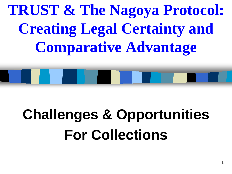**TRUST & The Nagoya Protocol: Creating Legal Certainty and Comparative Advantage** 

## **Challenges & Opportunities For Collections**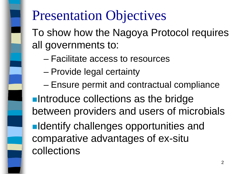### Presentation Objectives

To show how the Nagoya Protocol requires all governments to:

- Facilitate access to resources
- Provide legal certainty
- Ensure permit and contractual compliance

**Introduce collections as the bridge** between providers and users of microbials

**Indentify challenges opportunities and** comparative advantages of ex-situ collections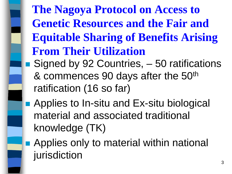**The Nagoya Protocol on Access to Genetic Resources and the Fair and Equitable Sharing of Benefits Arising From Their Utilization** ■ Signed by 92 Countries, – 50 ratifications

- & commences 90 days after the 50th ratification (16 so far)
- **Applies to In-situ and Ex-situ biological** material and associated traditional knowledge (TK)
- **Applies only to material within national** jurisdiction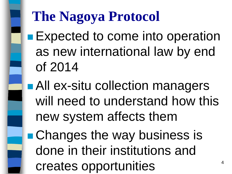### **The Nagoya Protocol**

**Expected to come into operation** as new international law by end of 2014

**All ex-situ collection managers** will need to understand how this new system affects them

**Changes the way business is** done in their institutions and creates opportunities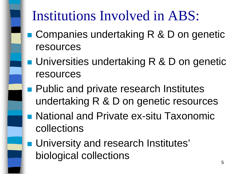### Institutions Involved in ABS:

- Companies undertaking R & D on genetic resources
- **Universities undertaking R & D on genetic** resources
- **Public and private research Institutes** undertaking R & D on genetic resources
- National and Private ex-situ Taxonomic collections
- **University and research Institutes'** biological collections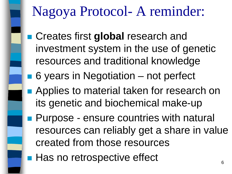### Nagoya Protocol- A reminder:

- **Exercise Creates first global research and** investment system in the use of genetic resources and traditional knowledge
- 6 years in Negotiation not perfect
- **Applies to material taken for research on** its genetic and biochemical make-up
- **Purpose ensure countries with natural** resources can reliably get a share in value created from those resources
- **Has no retrospective effect** 6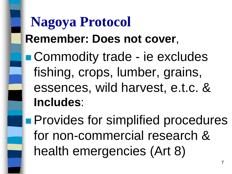### **Nagoya Protocol Remember: Does not cover**,

**Commodity trade - ie excludes** fishing, crops, lumber, grains, essences, wild harvest, e.t.c. & **Includes**:

**Provides for simplified procedures** for non-commercial research & health emergencies (Art 8)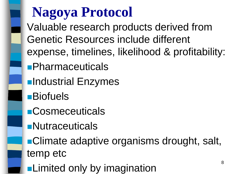### **Nagoya Protocol**

Valuable research products derived from Genetic Resources include different expense, timelines, likelihood & profitability:

- **Pharmaceuticals**
- **<u></u>Industrial Enzymes**
- **Biofuels**
- **Cosmeceuticals**
- **Nutraceuticals**
- **Climate adaptive organisms drought, salt,** temp etc
- **Limited only by imagination**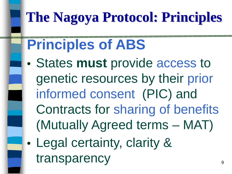### **The Nagoya Protocol: Principles**

### **Principles of ABS**

- States **must** provide access to genetic resources by their prior informed consent (PIC) and Contracts for sharing of benefits (Mutually Agreed terms – MAT)
- Legal certainty, clarity & transparency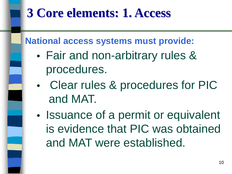#### **3 Core elements: 1. Access**

**National access systems must provide:** 

- Fair and non-arbitrary rules & procedures.
- Clear rules & procedures for PIC and MAT.
- Issuance of a permit or equivalent is evidence that PIC was obtained and MAT were established.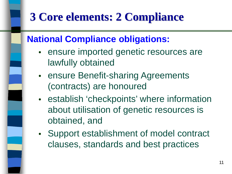#### **3 Core elements: 2 Compliance**

#### **National Compliance obligations:**

- ensure imported genetic resources are lawfully obtained
- ensure Benefit-sharing Agreements (contracts) are honoured
- establish 'checkpoints' where information about utilisation of genetic resources is obtained, and
- Support establishment of model contract clauses, standards and best practices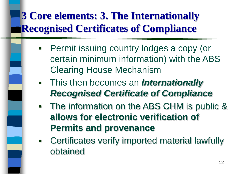#### **3 Core elements: 3. The Internationally Recognised Certificates of Compliance**

- Permit issuing country lodges a copy (or certain minimum information) with the ABS Clearing House Mechanism
- This then becomes an *Internationally Recognised Certificate of Compliance*
- The information on the ABS CHM is public & **allows for electronic verification of Permits and provenance**
- Certificates verify imported material lawfully obtained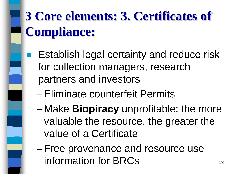### **3 Core elements: 3. Certificates of Compliance:**

- **Establish legal certainty and reduce risk** for collection managers, research partners and investors
	- –Eliminate counterfeit Permits
	- Make **Biopiracy** unprofitable: the more valuable the resource, the greater the value of a Certificate
	- –Free provenance and resource use information for  $BRCs$  13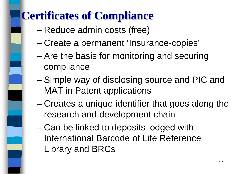#### **Certificates of Compliance**

- Reduce admin costs (free)
- Create a permanent 'Insurance-copies'
- Are the basis for monitoring and securing compliance
- Simple way of disclosing source and PIC and MAT in Patent applications
- Creates a unique identifier that goes along the research and development chain
- Can be linked to deposits lodged with International Barcode of Life Reference Library and BRCs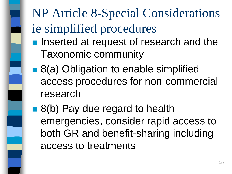## NP Article 8-Special Considerations ie simplified procedures

- **Inserted at request of research and the** Taxonomic community
- 8(a) Obligation to enable simplified access procedures for non-commercial research
- 8(b) Pay due regard to health emergencies, consider rapid access to both GR and benefit-sharing including access to treatments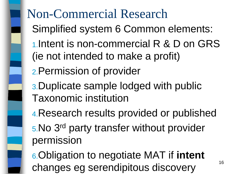### Non-Commercial Research Simplified system 6 Common elements: 1.Intent is non-commercial R & D on GRS (ie not intended to make a profit) 2.Permission of provider 3.Duplicate sample lodged with public Taxonomic institution 4.Research results provided or published 5.No 3rd party transfer without provider permission 6.Obligation to negotiate MAT if **intent**

changes eg serendipitous discovery 16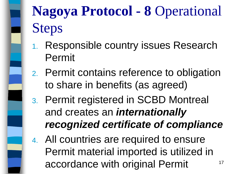

### **Nagoya Protocol - 8** Operational Steps

- 1. Responsible country issues Research Permit
- 2. Permit contains reference to obligation to share in benefits (as agreed)
- 3. Permit registered in SCBD Montreal and creates an *internationally recognized certificate of compliance*
- 4. All countries are required to ensure Permit material imported is utilized in accordance with original Permit 17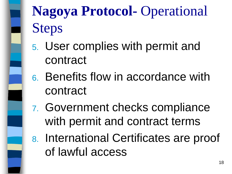

### **Nagoya Protocol-** Operational Steps

- 5. User complies with permit and contract
- 6. Benefits flow in accordance with contract
- 7. Government checks compliance with permit and contract terms
- 8. International Certificates are proof of lawful access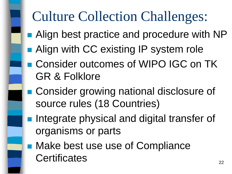### Culture Collection Challenges:

- Align best practice and procedure with NP
- **Align with CC existing IP system role**
- Consider outcomes of WIPO IGC on TK GR & Folklore
- Consider growing national disclosure of source rules (18 Countries)
- **Integrate physical and digital transfer of** organisms or parts
- Make best use use of Compliance Certificates 22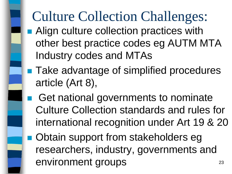### Culture Collection Challenges:

- **Align culture collection practices with** other best practice codes eg AUTM MTA Industry codes and MTAs
- **Take advantage of simplified procedures** article (Art 8),
- Get national governments to nominate Culture Collection standards and rules for international recognition under Art 19 & 20
- **Obtain support from stakeholders eget** researchers, industry, governments and environment groups 23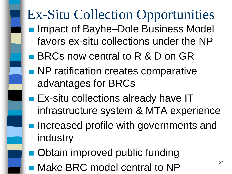### Ex-Situ Collection Opportunities

- Impact of Bayhe–Dole Business Model favors ex-situ collections under the NP
- **BRCs now central to R & D on GR**
- **NP** ratification creates comparative advantages for BRCs
- **Ex-situ collections already have IT** infrastructure system & MTA experience
- **Increased profile with governments and** industry
- **Obtain improved public funding**
- $\blacksquare$  Make BRC model central to NP  $^{24}$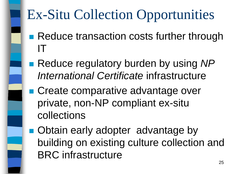### Ex-Situ Collection Opportunities

- Reduce transaction costs further through IT
- Reduce regulatory burden by using NP *International Certificate* infrastructure
- Create comparative advantage over private, non-NP compliant ex-situ collections
- **Obtain early adopter advantage by** building on existing culture collection and BRC infrastructure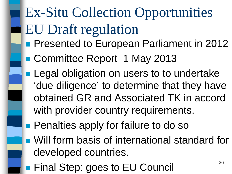### Ex-Situ Collection Opportunities EU Draft regulation

- **Presented to European Parliament in 2012**
- Committee Report 1 May 2013
- **Legal obligation on users to to undertake** 'due diligence' to determine that they have obtained GR and Associated TK in accord with provider country requirements.
- **Penalties apply for failure to do so**
- **Nullet 10 Form basis of international standard for** developed countries.
- **Final Step: goes to EU Council** 26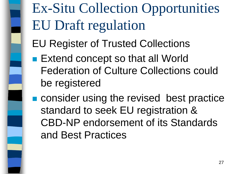Ex-Situ Collection Opportunities EU Draft regulation

EU Register of Trusted Collections

- Extend concept so that all World Federation of Culture Collections could be registered
- **n** consider using the revised best practice standard to seek EU registration & CBD-NP endorsement of its Standards and Best Practices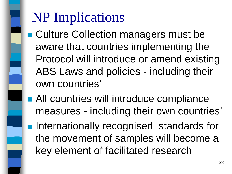### NP Implications

- Culture Collection managers must be aware that countries implementing the Protocol will introduce or amend existing ABS Laws and policies - including their own countries'
- **All countries will introduce compliance** measures - including their own countries'
- **Internationally recognised standards for** the movement of samples will become a key element of facilitated research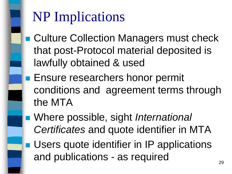### NP Implications

- **E** Culture Collection Managers must check that post-Protocol material deposited is lawfully obtained & used
- **Ensure researchers honor permit** conditions and agreement terms through the MTA
- Where possible, sight *International Certificates* and quote identifier in MTA
- **Users quote identifier in IP applications** and publications - as required  $29$